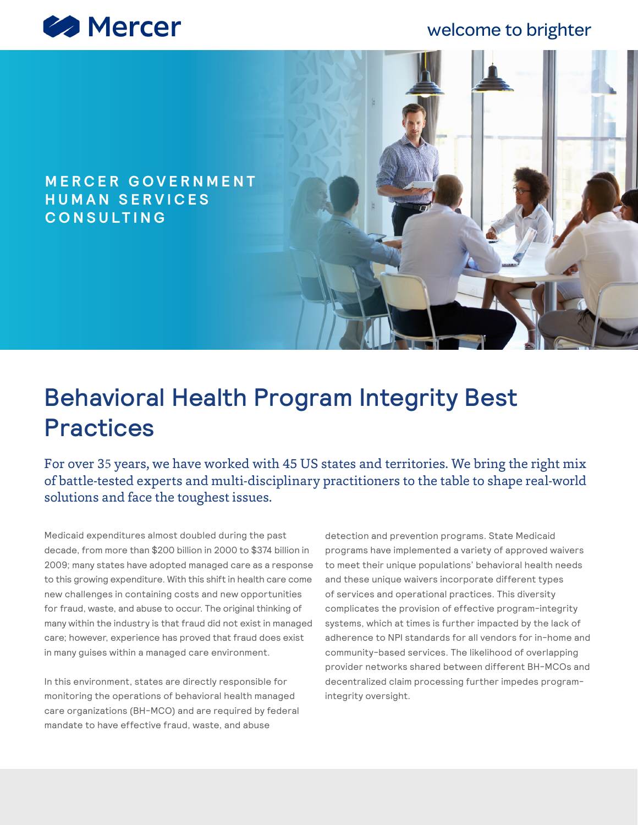

## welcome to brighter

### **M E R C E R G O V E R N M E N T H U M A N S E R V I C E S CONSULTING**

# Behavioral Health Program Integrity Best Practices

For over 35 years, we have worked with 45 US states and territories. We bring the right mix of battle-tested experts and multi-disciplinary practitioners to the table to shape real-world solutions and face the toughest issues.

Medicaid expenditures almost doubled during the past decade, from more than \$200 billion in 2000 to \$374 billion in 2009; many states have adopted managed care as a response to this growing expenditure. With this shift in health care come new challenges in containing costs and new opportunities for fraud, waste, and abuse to occur. The original thinking of many within the industry is that fraud did not exist in managed care; however, experience has proved that fraud does exist in many guises within a managed care environment.

In this environment, states are directly responsible for monitoring the operations of behavioral health managed care organizations (BH-MCO) and are required by federal mandate to have effective fraud, waste, and abuse

detection and prevention programs. State Medicaid programs have implemented a variety of approved waivers to meet their unique populations' behavioral health needs and these unique waivers incorporate different types of services and operational practices. This diversity complicates the provision of effective program-integrity systems, which at times is further impacted by the lack of adherence to NPI standards for all vendors for in-home and community-based services. The likelihood of overlapping provider networks shared between different BH-MCOs and decentralized claim processing further impedes programintegrity oversight.